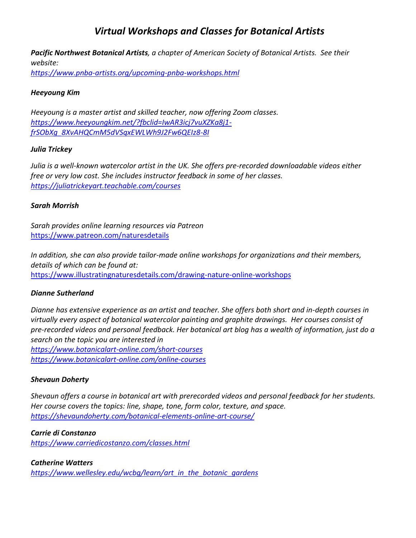# *Virtual Workshops and Classes for Botanical Artists*

*Pacific Northwest Botanical Artists, a chapter of American Society of Botanical Artists. See their website:*

*<https://www.pnba-artists.org/upcoming-pnba-workshops.html>*

## *Heeyoung Kim*

*Heeyoung is a master artist and skilled teacher, now offering Zoom classes. [https://www.heeyoungkim.net/?fbclid=IwAR3icj7vuXZKa8j1](https://www.heeyoungkim.net/?fbclid=IwAR3icj7vuXZKa8j1-frSObXg_8XvAHQCmM5dVSqxEWLWh9J2Fw6QEIz8-8I) [frSObXg\\_8XvAHQCmM5dVSqxEWLWh9J2Fw6QEIz8-8I](https://www.heeyoungkim.net/?fbclid=IwAR3icj7vuXZKa8j1-frSObXg_8XvAHQCmM5dVSqxEWLWh9J2Fw6QEIz8-8I)*

## *Julia Trickey*

*Julia is a well-known watercolor artist in the UK. She offers pre-recorded downloadable videos either free or very low cost. She includes instructor feedback in some of her classes. <https://juliatrickeyart.teachable.com/courses>*

## *Sarah Morrish*

*Sarah provides online learning resources via Patreon* <https://www.patreon.com/naturesdetails>

*In addition, she can also provide tailor-made online workshops for organizations and their members, details of which can be found at:* <https://www.illustratingnaturesdetails.com/drawing-nature-online-workshops>

# *Dianne Sutherland*

*Dianne has extensive experience as an artist and teacher. She offers both short and in-depth courses in virtually every aspect of botanical watercolor painting and graphite drawings. Her courses consist of pre-recorded videos and personal feedback. Her botanical art blog has a wealth of information, just do a search on the topic you are interested in <https://www.botanicalart-online.com/short-courses> <https://www.botanicalart-online.com/online-courses>*

#### *Shevaun Doherty*

*Shevaun offers a course in botanical art with prerecorded videos and personal feedback for her students. Her course covers the topics: line, shape, tone, form color, texture, and space. <https://shevaundoherty.com/botanical-elements-online-art-course/>*

*Carrie di Constanzo <https://www.carriedicostanzo.com/classes.html>*

*Catherine Watters [https://www.wellesley.edu/wcbg/learn/art\\_in\\_the\\_botanic\\_gardens](https://www.wellesley.edu/wcbg/learn/art_in_the_botanic_gardens)*